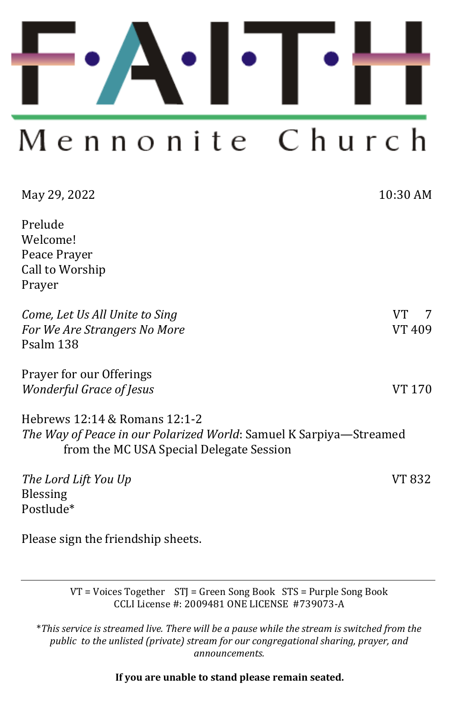

# Mennonite Church

| May 29, 2022                                                                                                                                           | 10:30 AM      |
|--------------------------------------------------------------------------------------------------------------------------------------------------------|---------------|
| Prelude<br>Welcome!<br>Peace Prayer<br>Call to Worship<br>Prayer                                                                                       |               |
| Come, Let Us All Unite to Sing<br>For We Are Strangers No More<br>Psalm 138                                                                            | VT.<br>VT 409 |
| Prayer for our Offerings<br><i><b>Wonderful Grace of Jesus</b></i>                                                                                     | VT 170        |
| Hebrews 12:14 & Romans 12:1-2<br><i>The Way of Peace in our Polarized World: Samuel K Sarpiya—Streamed</i><br>from the MC USA Special Delegate Session |               |
| The Lord Lift You Up<br><b>Blessing</b><br>Postlude*                                                                                                   | VT 832        |

Please sign the friendship sheets.

VT = Voices Together STJ = Green Song Book STS = Purple Song Book CCLI License #: 2009481 ONE LICENSE #739073-A

\**This service is streamed live. There will be a pause while the stream is switched from the public to the unlisted (private) stream for our congregational sharing, prayer, and announcements.* 

**If you are unable to stand please remain seated.**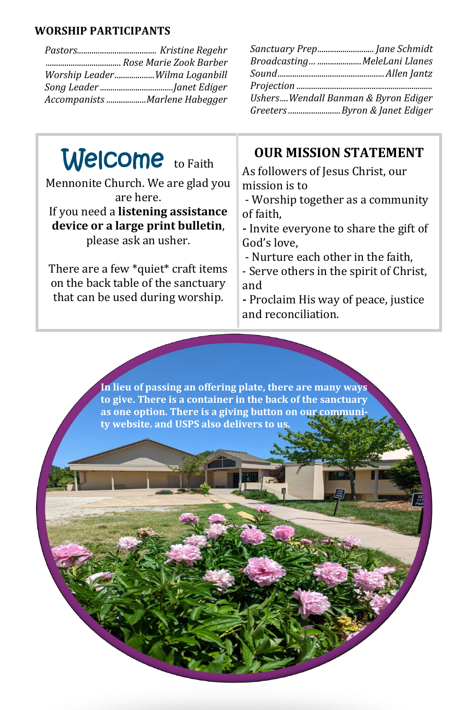#### **WORSHIP PARTICIPANTS**

| Worship LeaderWilma Loganbill |
|-------------------------------|
|                               |
| Accompanists Marlene Habegger |

| Sanctuary Prep Jane Schmidt         |  |
|-------------------------------------|--|
| Broadcasting MeleLani Llanes        |  |
|                                     |  |
|                                     |  |
| UshersWendall Banman & Byron Ediger |  |
| Greeters Byron & Janet Ediger       |  |

## Welcome to Faith

Mennonite Church. We are glad you are here. If you need a **listening assistance** 

#### **device or a large print bulletin**,

please ask an usher.

There are a few \*quiet\* craft items on the back table of the sanctuary that can be used during worship.

#### **OUR MISSION STATEMENT**

As followers of Jesus Christ, our mission is to

- Worship together as a community of faith,

**-** Invite everyone to share the gift of God's love,

- Nurture each other in the faith,

- Serve others in the spirit of Christ, and

**-** Proclaim His way of peace, justice and reconciliation.

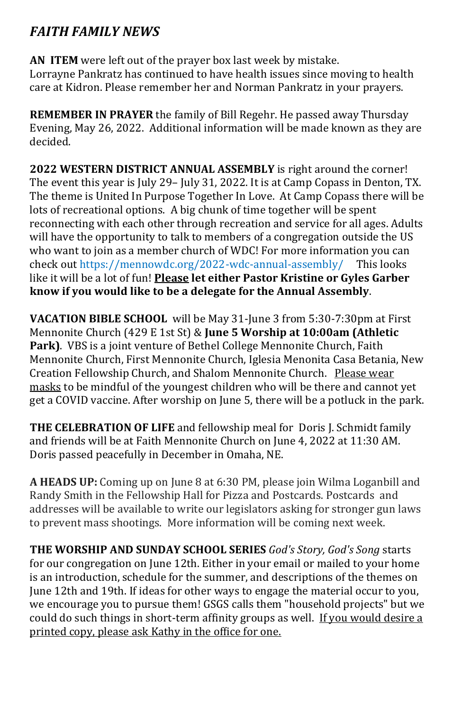#### *FAITH FAMILY NEWS*

**AN ITEM** were left out of the prayer box last week by mistake. Lorrayne Pankratz has continued to have health issues since moving to health care at Kidron. Please remember her and Norman Pankratz in your prayers.

**REMEMBER IN PRAYER** the family of Bill Regehr. He passed away Thursday Evening, May 26, 2022. Additional information will be made known as they are decided.

**2022 WESTERN DISTRICT ANNUAL ASSEMBLY** is right around the corner! The event this year is July 29– July 31, 2022. It is at Camp Copass in Denton, TX. The theme is United In Purpose Together In Love. At Camp Copass there will be lots of recreational options. A big chunk of time together will be spent reconnecting with each other through recreation and service for all ages. Adults will have the opportunity to talk to members of a congregation outside the US who want to join as a member church of WDC! For more information you can check out https://mennowdc.org/2022-wdc-annual-assembly/ This looks like it will be a lot of fun! **Please let either Pastor Kristine or Gyles Garber know if you would like to be a delegate for the Annual Assembly**.

**VACATION BIBLE SCHOOL** will be May 31-June 3 from 5:30-7:30pm at First Mennonite Church (429 E 1st St) & **June 5 Worship at 10:00am (Athletic Park)**. VBS is a joint venture of Bethel College Mennonite Church, Faith Mennonite Church, First Mennonite Church, Iglesia Menonita Casa Betania, New Creation Fellowship Church, and Shalom Mennonite Church. Please wear masks to be mindful of the youngest children who will be there and cannot yet get a COVID vaccine. After worship on June 5, there will be a potluck in the park.

**THE CELEBRATION OF LIFE** and fellowship meal for Doris J. Schmidt family and friends will be at Faith Mennonite Church on June 4, 2022 at 11:30 AM. Doris passed peacefully in December in Omaha, NE.

**A HEADS UP:** Coming up on June 8 at 6:30 PM, please join Wilma Loganbill and Randy Smith in the Fellowship Hall for Pizza and Postcards. Postcards and addresses will be available to write our legislators asking for stronger gun laws to prevent mass shootings. More information will be coming next week.

**THE WORSHIP AND SUNDAY SCHOOL SERIES** *God's Story, God's Song* starts for our congregation on June 12th. Either in your email or mailed to your home is an introduction, schedule for the summer, and descriptions of the themes on June 12th and 19th. If ideas for other ways to engage the material occur to you, we encourage you to pursue them! GSGS calls them "household projects" but we could do such things in short-term affinity groups as well. If you would desire a printed copy, please ask Kathy in the office for one.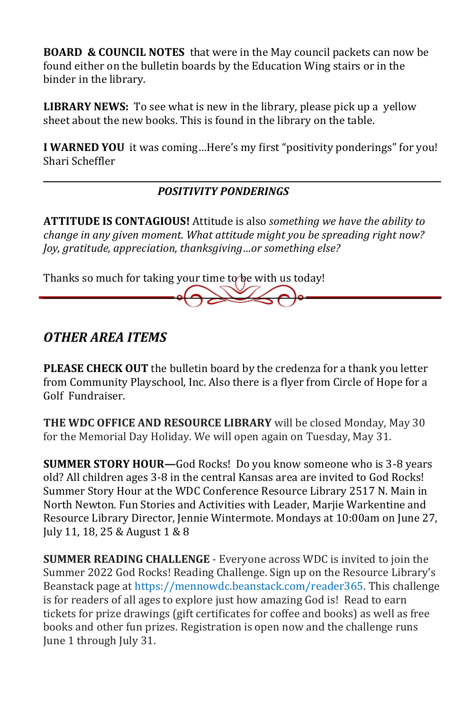**BOARD & COUNCIL NOTES** that were in the May council packets can now be found either on the bulletin boards by the Education Wing stairs or in the binder in the library.

**LIBRARY NEWS:** To see what is new in the library, please pick up a yellow sheet about the new books. This is found in the library on the table.

**I WARNED YOU** it was coming…Here's my first "positivity ponderings" for you! Shari Scheffler

#### *POSITIVITY PONDERINGS*

**ATTITUDE IS CONTAGIOUS!** Attitude is also *something we have the ability to change in any given moment. What attitude might you be spreading right now? Joy, gratitude, appreciation, thanksgiving…or something else?*

Thanks so much for taking your time to be with us today!

#### *OTHER AREA ITEMS*

**PLEASE CHECK OUT** the bulletin board by the credenza for a thank you letter from Community Playschool, Inc. Also there is a flyer from Circle of Hope for a Golf Fundraiser.

**THE WDC OFFICE AND RESOURCE LIBRARY** will be closed Monday, May 30 for the Memorial Day Holiday. We will open again on Tuesday, May 31.

**SUMMER STORY HOUR—**God Rocks! Do you know someone who is 3-8 years old? All children ages 3-8 in the central Kansas area are invited to God Rocks! Summer Story Hour at the WDC Conference Resource Library 2517 N. Main in North Newton. Fun Stories and Activities with Leader, Marjie Warkentine and Resource Library Director, Jennie Wintermote. Mondays at 10:00am on June 27, July 11, 18, 25 & August 1 & 8

**SUMMER READING CHALLENGE** - Everyone across WDC is invited to join the Summer 2022 God Rocks! Reading Challenge. Sign up on the Resource Library's Beanstack page at [https://mennowdc.beanstack.com/reader365.](https://mennowdc.us5.list-manage.com/track/click?u=3915f468965d9af14d0f614cb&id=7919616dc6&e=324c06fb4b) This challenge is for readers of all ages to explore just how amazing God is! Read to earn tickets for prize drawings (gift certificates for coffee and books) as well as free books and other fun prizes. Registration is open now and the challenge runs June 1 through July 31.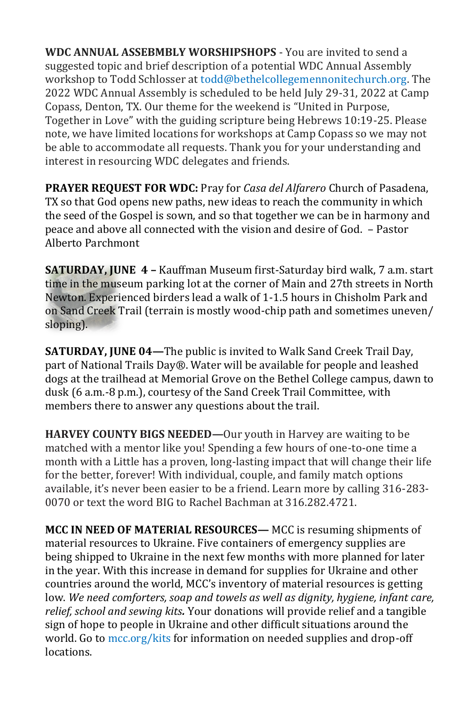**WDC ANNUAL ASSEBMBLY WORSHIPSHOPS** - You are invited to send a suggested topic and brief description of a potential WDC Annual Assembly workshop to Todd Schlosser at [todd@bethelcollegemennonitechurch.org.](mailto:todd@bethelcollegemennonitechurch.org) The 2022 WDC Annual Assembly is scheduled to be held July 29-31, 2022 at Camp Copass, Denton, TX. Our theme for the weekend is "United in Purpose, Together in Love" with the guiding scripture being Hebrews 10:19-25. Please note, we have limited locations for workshops at Camp Copass so we may not be able to accommodate all requests. Thank you for your understanding and interest in resourcing WDC delegates and friends.

**PRAYER REQUEST FOR WDC:** Pray for *Casa del Alfarero* Church of Pasadena, TX so that God opens new paths, new ideas to reach the community in which the seed of the Gospel is sown, and so that together we can be in harmony and peace and above all connected with the vision and desire of God. – Pastor Alberto Parchmont

**SATURDAY, JUNE 4 –** Kauffman Museum first-Saturday bird walk, 7 a.m. start time in the museum parking lot at the corner of Main and 27th streets in North Newton. Experienced birders lead a walk of 1-1.5 hours in Chisholm Park and on Sand Creek Trail (terrain is mostly wood-chip path and sometimes uneven/ sloping).

**SATURDAY, JUNE 04—**The public is invited to Walk Sand Creek Trail Day, part of National Trails Day®. Water will be available for people and leashed dogs at the trailhead at Memorial Grove on the Bethel College campus, dawn to dusk (6 a.m.-8 p.m.), courtesy of the Sand Creek Trail Committee, with members there to answer any questions about the trail.

**HARVEY COUNTY BIGS NEEDED—**Our youth in Harvey are waiting to be matched with a mentor like you! Spending a few hours of one-to-one time a month with a Little has a proven, long-lasting impact that will change their life for the better, forever! With individual, couple, and family match options available, it's never been easier to be a friend. Learn more by calling 316-283- 0070 or text the word BIG to Rachel Bachman at 316.282.4721.

**MCC IN NEED OF MATERIAL RESOURCES—** MCC is resuming shipments of material resources to Ukraine. Five containers of emergency supplies are being shipped to Ukraine in the next few months with more planned for later in the year. With this increase in demand for supplies for Ukraine and other countries around the world, MCC's inventory of material resources is getting low. *We need comforters, soap and towels as well as dignity, hygiene, infant care, relief, school and sewing kits.* Your donations will provide relief and a tangible sign of hope to people in Ukraine and other difficult situations around the world. Go to [mcc.org/kits](https://mcc.org/get-involved/kits) for information on needed supplies and drop-off locations.